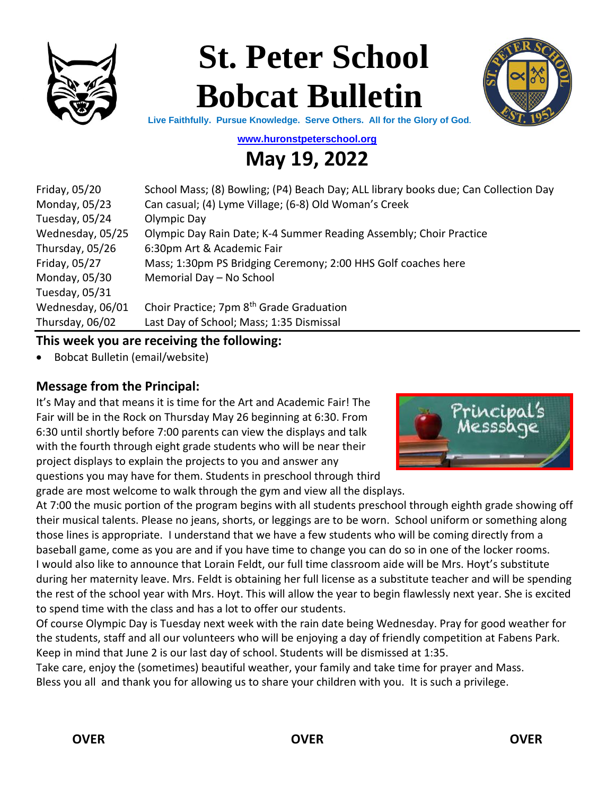

# **St. Peter School Bobcat Bulletin**



**Live Faithfully. Pursue Knowledge. Serve Others. All for the Glory of God.**

**[www.huronstpeterschool.org](http://www.huronstpeterschool.org/)**

# **May 19, 2022**

| Friday, 05/20    | School Mass; (8) Bowling; (P4) Beach Day; ALL library books due; Can Collection Day |
|------------------|-------------------------------------------------------------------------------------|
| Monday, 05/23    | Can casual; (4) Lyme Village; (6-8) Old Woman's Creek                               |
| Tuesday, 05/24   | Olympic Day                                                                         |
| Wednesday, 05/25 | Olympic Day Rain Date; K-4 Summer Reading Assembly; Choir Practice                  |
| Thursday, 05/26  | 6:30pm Art & Academic Fair                                                          |
| Friday, 05/27    | Mass; 1:30pm PS Bridging Ceremony; 2:00 HHS Golf coaches here                       |
| Monday, 05/30    | Memorial Day - No School                                                            |
| Tuesday, 05/31   |                                                                                     |
| Wednesday, 06/01 | Choir Practice; 7pm 8 <sup>th</sup> Grade Graduation                                |
| Thursday, 06/02  | Last Day of School; Mass; 1:35 Dismissal                                            |

#### **This week you are receiving the following:**

• Bobcat Bulletin (email/website)

#### **Message from the Principal:**

It's May and that means it is time for the Art and Academic Fair! The Fair will be in the Rock on Thursday May 26 beginning at 6:30. From 6:30 until shortly before 7:00 parents can view the displays and talk with the fourth through eight grade students who will be near their project displays to explain the projects to you and answer any questions you may have for them. Students in preschool through third grade are most welcome to walk through the gym and view all the displays.



At 7:00 the music portion of the program begins with all students preschool through eighth grade showing off their musical talents. Please no jeans, shorts, or leggings are to be worn. School uniform or something along those lines is appropriate. I understand that we have a few students who will be coming directly from a baseball game, come as you are and if you have time to change you can do so in one of the locker rooms. I would also like to announce that Lorain Feldt, our full time classroom aide will be Mrs. Hoyt's substitute during her maternity leave. Mrs. Feldt is obtaining her full license as a substitute teacher and will be spending the rest of the school year with Mrs. Hoyt. This will allow the year to begin flawlessly next year. She is excited to spend time with the class and has a lot to offer our students.

Of course Olympic Day is Tuesday next week with the rain date being Wednesday. Pray for good weather for the students, staff and all our volunteers who will be enjoying a day of friendly competition at Fabens Park. Keep in mind that June 2 is our last day of school. Students will be dismissed at 1:35.

Take care, enjoy the (sometimes) beautiful weather, your family and take time for prayer and Mass. Bless you all and thank you for allowing us to share your children with you. It is such a privilege.